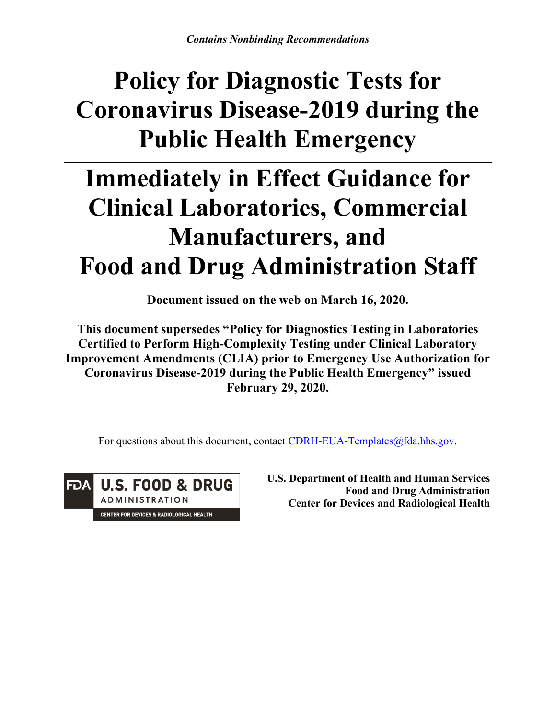# **Policy for Diagnostic Tests for Coronavirus Disease-2019 during the Public Health Emergency**

# **Immediately in Effect Guidance for Clinical Laboratories, Commercial Manufacturers, and Food and Drug Administration Staff**

**Document issued on the web on March 16, 2020.**

**This document supersedes "Policy for Diagnostics Testing in Laboratories Certified to Perform High-Complexity Testing under Clinical Laboratory Improvement Amendments (CLIA) prior to Emergency Use Authorization for Coronavirus Disease-2019 during the Public Health Emergency" issued February 29, 2020.**

For questions about this document, contact [CDRH-EUA-Templates@fda.hhs.gov](mailto:CDRH-EUA-Templates@fda.hhs.gov).

**U.S. FOOD & DRUG** FDA **ADMINISTRATION** CENTER FOR DEVICES & RADIOLOGICAL HEALTH

**U.S. Department of Health and Human Services Food and Drug Administration Center for Devices and Radiological Health**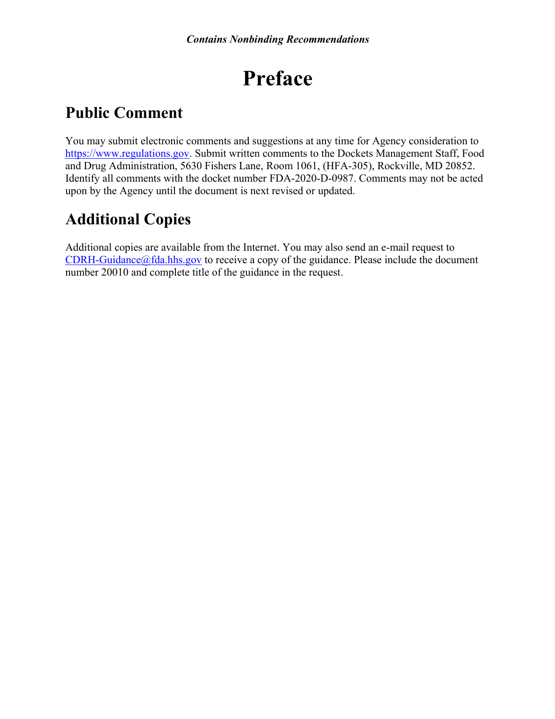# **Preface**

## **Public Comment**

You may submit electronic comments and suggestions at any time for Agency consideration to [https://www.regulations.gov.](http://www.regulations.gov/) Submit written comments to the Dockets Management Staff, Food and Drug Administration, 5630 Fishers Lane, Room 1061, (HFA-305), Rockville, MD 20852. Identify all comments with the docket number FDA-2020-D-0987. Comments may not be acted upon by the Agency until the document is next revised or updated.

# **Additional Copies**

Additional copies are available from the Internet. You may also send an e-mail request to  $CDRH-Guidance@fda.hhs.gov$  to receive a copy of the guidance. Please include the document number 20010 and complete title of the guidance in the request.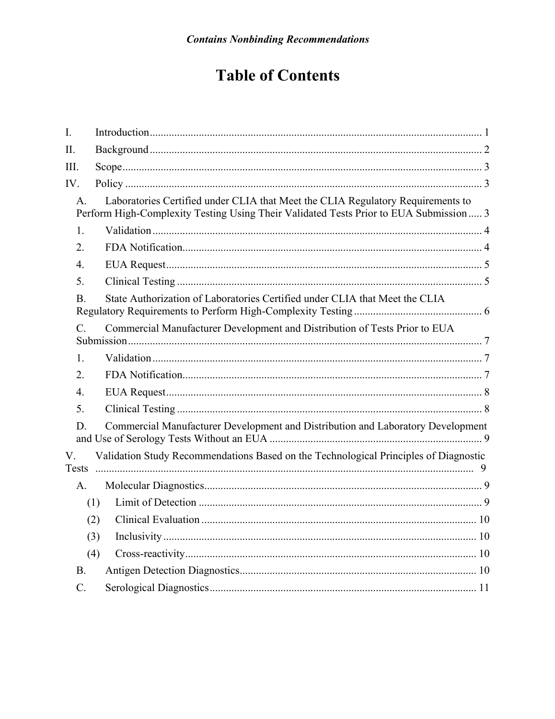# **Table of Contents**

| I.               |                                                                                                                                                                          |
|------------------|--------------------------------------------------------------------------------------------------------------------------------------------------------------------------|
| Π.               |                                                                                                                                                                          |
| III.             |                                                                                                                                                                          |
| IV.              |                                                                                                                                                                          |
| $\mathsf{A}$ .   | Laboratories Certified under CLIA that Meet the CLIA Regulatory Requirements to<br>Perform High-Complexity Testing Using Their Validated Tests Prior to EUA Submission 3 |
| 1.               |                                                                                                                                                                          |
| 2.               |                                                                                                                                                                          |
| $\overline{4}$ . |                                                                                                                                                                          |
| 5.               |                                                                                                                                                                          |
| B.               | State Authorization of Laboratories Certified under CLIA that Meet the CLIA                                                                                              |
| $C$ .            | Commercial Manufacturer Development and Distribution of Tests Prior to EUA                                                                                               |
| 1.               |                                                                                                                                                                          |
| 2.               |                                                                                                                                                                          |
| 4.               |                                                                                                                                                                          |
| 5.               |                                                                                                                                                                          |
| D.               | Commercial Manufacturer Development and Distribution and Laboratory Development                                                                                          |
| V.               | Validation Study Recommendations Based on the Technological Principles of Diagnostic                                                                                     |
| A.               |                                                                                                                                                                          |
|                  | (1)                                                                                                                                                                      |
|                  | (2)                                                                                                                                                                      |
|                  | (3)                                                                                                                                                                      |
|                  | (4)                                                                                                                                                                      |
| B.               |                                                                                                                                                                          |
| $\mathcal{C}$ .  |                                                                                                                                                                          |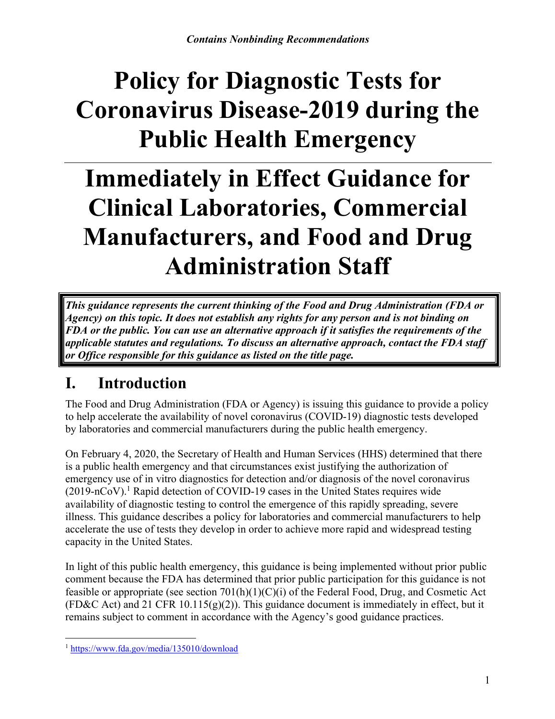# **Policy for Diagnostic Tests for Coronavirus Disease-2019 during the Public Health Emergency**

# **Immediately in Effect Guidance for Clinical Laboratories, Commercial Manufacturers, and Food and Drug Administration Staff**

*This guidance represents the current thinking of the Food and Drug Administration (FDA or Agency) on this topic. It does not establish any rights for any person and is not binding on FDA or the public. You can use an alternative approach if it satisfies the requirements of the applicable statutes and regulations. To discuss an alternative approach, contact the FDA staff or Office responsible for this guidance as listed on the title page.* 

## <span id="page-3-0"></span>**I. Introduction**

The Food and Drug Administration (FDA or Agency) is issuing this guidance to provide a policy to help accelerate the availability of novel coronavirus (COVID-19) diagnostic tests developed by laboratories and commercial manufacturers during the public health emergency.

On February 4, 2020, the Secretary of Health and Human Services (HHS) determined that there is a public health emergency and that circumstances exist justifying the authorization of emergency use of in vitro diagnostics for detection and/or diagnosis of the novel coronavirus (2019-nCoV). [1](#page-3-1) Rapid detection of COVID-19 cases in the United States requires wide availability of diagnostic testing to control the emergence of this rapidly spreading, severe illness. This guidance describes a policy for laboratories and commercial manufacturers to help accelerate the use of tests they develop in order to achieve more rapid and widespread testing capacity in the United States.

In light of this public health emergency, this guidance is being implemented without prior public comment because the FDA has determined that prior public participation for this guidance is not feasible or appropriate (see section 701(h)(1)(C)(i) of the Federal Food, Drug, and Cosmetic Act (FD&C Act) and 21 CFR 10.115(g)(2)). This guidance document is immediately in effect, but it remains subject to comment in accordance with the Agency's good guidance practices.

<span id="page-3-1"></span> $\overline{a}$ <sup>1</sup> <https://www.fda.gov/media/135010/download>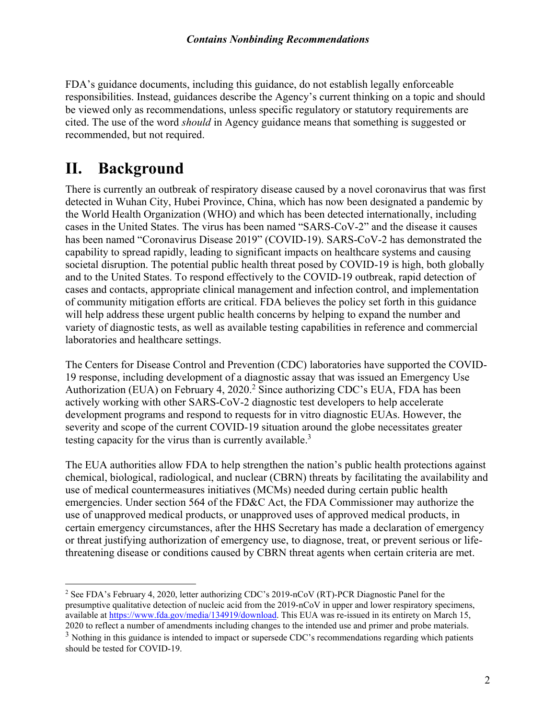FDA's guidance documents, including this guidance, do not establish legally enforceable responsibilities. Instead, guidances describe the Agency's current thinking on a topic and should be viewed only as recommendations, unless specific regulatory or statutory requirements are cited. The use of the word *should* in Agency guidance means that something is suggested or recommended, but not required.

## <span id="page-4-0"></span>**II. Background**

 $\overline{a}$ 

There is currently an outbreak of respiratory disease caused by a novel coronavirus that was first detected in Wuhan City, Hubei Province, China, which has now been designated a pandemic by the World Health Organization (WHO) and which has been detected internationally, including cases in the United States. The virus has been named "SARS-CoV-2" and the disease it causes has been named "Coronavirus Disease 2019" (COVID-19). SARS-CoV-2 has demonstrated the capability to spread rapidly, leading to significant impacts on healthcare systems and causing societal disruption. The potential public health threat posed by COVID-19 is high, both globally and to the United States. To respond effectively to the COVID-19 outbreak, rapid detection of cases and contacts, appropriate clinical management and infection control, and implementation of community mitigation efforts are critical. FDA believes the policy set forth in this guidance will help address these urgent public health concerns by helping to expand the number and variety of diagnostic tests, as well as available testing capabilities in reference and commercial laboratories and healthcare settings.

The Centers for Disease Control and Prevention (CDC) laboratories have supported the COVID-19 response, including development of a diagnostic assay that was issued an Emergency Use Authorization (EUA) on February 4, 2020. [2](#page-4-1) Since authorizing CDC's EUA, FDA has been actively working with other SARS-CoV-2 diagnostic test developers to help accelerate development programs and respond to requests for in vitro diagnostic EUAs. However, the severity and scope of the current COVID-19 situation around the globe necessitates greater testing capacity for the virus than is currently available.<sup>[3](#page-4-2)</sup>

The EUA authorities allow FDA to help strengthen the nation's public health protections against chemical, biological, radiological, and nuclear (CBRN) threats by facilitating the availability and use of medical countermeasures initiatives (MCMs) needed during certain public health emergencies. Under section 564 of the FD&C Act, the FDA Commissioner may authorize the use of unapproved medical products, or unapproved uses of approved medical products, in certain emergency circumstances, after the HHS Secretary has made a declaration of emergency or threat justifying authorization of emergency use, to diagnose, treat, or prevent serious or lifethreatening disease or conditions caused by CBRN threat agents when certain criteria are met.

<span id="page-4-1"></span><sup>&</sup>lt;sup>2</sup> See FDA's February 4, 2020, letter authorizing CDC's 2019-nCoV (RT)-PCR Diagnostic Panel for the presumptive qualitative detection of nucleic acid from the 2019-nCoV in upper and lower respiratory specimens, available at [https://www.fda.gov/media/134919/download.](https://www.fda.gov/media/134919/download) This EUA was re-issued in its entirety on March 15, 2020 to reflect a number of amendments including changes to the intended use and primer and probe materials.

<span id="page-4-2"></span><sup>&</sup>lt;sup>3</sup> Nothing in this guidance is intended to impact or supersede CDC's recommendations regarding which patients should be tested for COVID-19.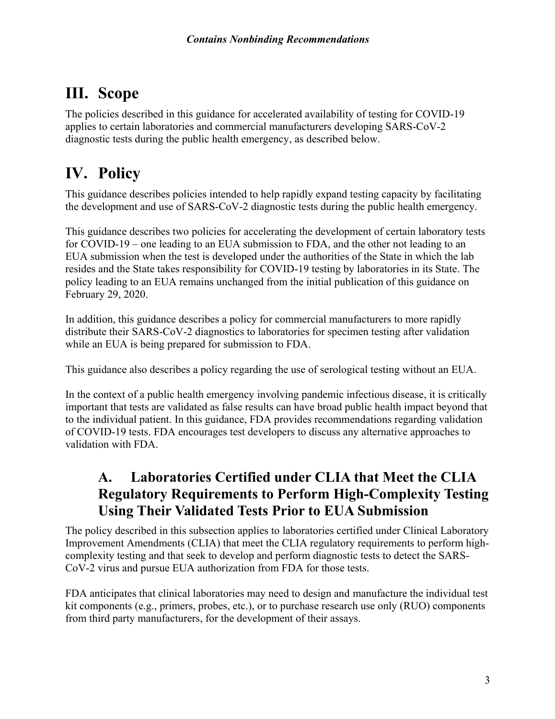## <span id="page-5-0"></span>**III. Scope**

The policies described in this guidance for accelerated availability of testing for COVID-19 applies to certain laboratories and commercial manufacturers developing SARS-CoV-2 diagnostic tests during the public health emergency, as described below.

## <span id="page-5-1"></span>**IV. Policy**

This guidance describes policies intended to help rapidly expand testing capacity by facilitating the development and use of SARS-CoV-2 diagnostic tests during the public health emergency.

This guidance describes two policies for accelerating the development of certain laboratory tests for COVID-19 – one leading to an EUA submission to FDA, and the other not leading to an EUA submission when the test is developed under the authorities of the State in which the lab resides and the State takes responsibility for COVID-19 testing by laboratories in its State. The policy leading to an EUA remains unchanged from the initial publication of this guidance on February 29, 2020.

In addition, this guidance describes a policy for commercial manufacturers to more rapidly distribute their SARS-CoV-2 diagnostics to laboratories for specimen testing after validation while an EUA is being prepared for submission to FDA.

This guidance also describes a policy regarding the use of serological testing without an EUA.

In the context of a public health emergency involving pandemic infectious disease, it is critically important that tests are validated as false results can have broad public health impact beyond that to the individual patient. In this guidance, FDA provides recommendations regarding validation of COVID-19 tests. FDA encourages test developers to discuss any alternative approaches to validation with FDA.

### <span id="page-5-2"></span>**A. Laboratories Certified under CLIA that Meet the CLIA Regulatory Requirements to Perform High-Complexity Testing Using Their Validated Tests Prior to EUA Submission**

The policy described in this subsection applies to laboratories certified under Clinical Laboratory Improvement Amendments (CLIA) that meet the CLIA regulatory requirements to perform highcomplexity testing and that seek to develop and perform diagnostic tests to detect the SARS-CoV-2 virus and pursue EUA authorization from FDA for those tests.

FDA anticipates that clinical laboratories may need to design and manufacture the individual test kit components (e.g., primers, probes, etc.), or to purchase research use only (RUO) components from third party manufacturers, for the development of their assays.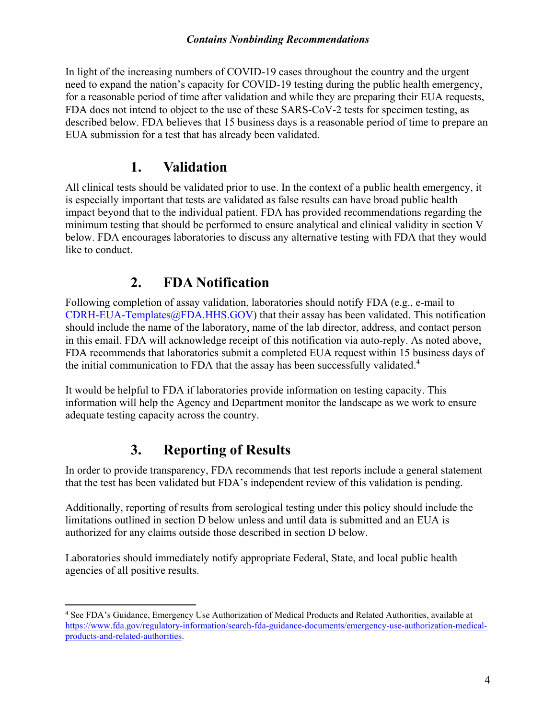#### *Contains Nonbinding Recommendations*

In light of the increasing numbers of COVID-19 cases throughout the country and the urgent need to expand the nation's capacity for COVID-19 testing during the public health emergency, for a reasonable period of time after validation and while they are preparing their EUA requests, FDA does not intend to object to the use of these SARS-CoV-2 tests for specimen testing, as described below. FDA believes that 15 business days is a reasonable period of time to prepare an EUA submission for a test that has already been validated.

#### <span id="page-6-0"></span>**1. Validation**

All clinical tests should be validated prior to use. In the context of a public health emergency, it is especially important that tests are validated as false results can have broad public health impact beyond that to the individual patient. FDA has provided recommendations regarding the minimum testing that should be performed to ensure analytical and clinical validity in section V below. FDA encourages laboratories to discuss any alternative testing with FDA that they would like to conduct.

#### <span id="page-6-1"></span>**2. FDA Notification**

Following completion of assay validation, laboratories should notify FDA (e.g., e-mail to [CDRH-EUA-Templates@FDA.HHS.GOV](mailto:CDRH-EUA-Templates@FDA.HHS.GOV)) that their assay has been validated. This notification should include the name of the laboratory, name of the lab director, address, and contact person in this email. FDA will acknowledge receipt of this notification via auto-reply. As noted above, FDA recommends that laboratories submit a completed EUA request within 15 business days of the initial communication to FDA that the assay has been successfully validated.<sup>[4](#page-6-2)</sup>

It would be helpful to FDA if laboratories provide information on testing capacity. This information will help the Agency and Department monitor the landscape as we work to ensure adequate testing capacity across the country.

### **3. Reporting of Results**

 $\overline{a}$ 

In order to provide transparency, FDA recommends that test reports include a general statement that the test has been validated but FDA's independent review of this validation is pending.

Additionally, reporting of results from serological testing under this policy should include the limitations outlined in section D below unless and until data is submitted and an EUA is authorized for any claims outside those described in section D below.

Laboratories should immediately notify appropriate Federal, State, and local public health agencies of all positive results.

<span id="page-6-2"></span><sup>4</sup> See FDA's Guidance, Emergency Use Authorization of Medical Products and Related Authorities, available at [https://www.fda.gov/regulatory-information/search-fda-guidance-documents/emergency-use-authorization-medical](https://www.fda.gov/regulatory-information/search-fda-guidance-documents/emergency-use-authorization-medical-products-and-related-authorities)[products-and-related-authorities](https://www.fda.gov/regulatory-information/search-fda-guidance-documents/emergency-use-authorization-medical-products-and-related-authorities).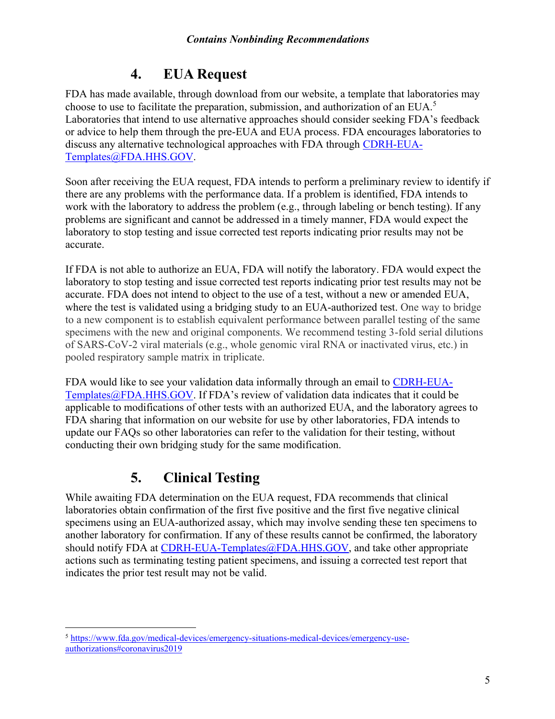### <span id="page-7-0"></span>**4. EUA Request**

FDA has made available, through download from our website, a template that laboratories may choose to use to facilitate the preparation, submission, and authorization of an EUA.<sup>[5](#page-7-2)</sup> Laboratories that intend to use alternative approaches should consider seeking FDA's feedback or advice to help them through the pre-EUA and EUA process. FDA encourages laboratories to discuss any alternative technological approaches with FDA through [CDRH-EUA-](mailto:CDRH-EUA-Templates@FDA.HHS.GOV)[Templates@FDA.HHS.GOV.](mailto:CDRH-EUA-Templates@FDA.HHS.GOV)

Soon after receiving the EUA request, FDA intends to perform a preliminary review to identify if there are any problems with the performance data. If a problem is identified, FDA intends to work with the laboratory to address the problem (e.g., through labeling or bench testing). If any problems are significant and cannot be addressed in a timely manner, FDA would expect the laboratory to stop testing and issue corrected test reports indicating prior results may not be accurate.

If FDA is not able to authorize an EUA, FDA will notify the laboratory. FDA would expect the laboratory to stop testing and issue corrected test reports indicating prior test results may not be accurate. FDA does not intend to object to the use of a test, without a new or amended EUA, where the test is validated using a bridging study to an EUA-authorized test. One way to bridge to a new component is to establish equivalent performance between parallel testing of the same specimens with the new and original components. We recommend testing 3-fold serial dilutions of SARS-CoV-2 viral materials (e.g., whole genomic viral RNA or inactivated virus, etc.) in pooled respiratory sample matrix in triplicate.

FDA would like to see your validation data informally through an email to [CDRH-EUA-](mailto:CDRH-EUA-Templates@FDA.HHS.GOV)[Templates@FDA.HHS.GOV.](mailto:CDRH-EUA-Templates@FDA.HHS.GOV) If FDA's review of validation data indicates that it could be applicable to modifications of other tests with an authorized EUA, and the laboratory agrees to FDA sharing that information on our website for use by other laboratories, FDA intends to update our FAQs so other laboratories can refer to the validation for their testing, without conducting their own bridging study for the same modification.

## <span id="page-7-1"></span>**5. Clinical Testing**

While awaiting FDA determination on the EUA request, FDA recommends that clinical laboratories obtain confirmation of the first five positive and the first five negative clinical specimens using an EUA-authorized assay, which may involve sending these ten specimens to another laboratory for confirmation. If any of these results cannot be confirmed, the laboratory should notify FDA at [CDRH-EUA-Templates@FDA.HHS.GOV](mailto:CDRH-EUA-Templates@FDA.HHS.GOV), and take other appropriate actions such as terminating testing patient specimens, and issuing a corrected test report that indicates the prior test result may not be valid.

<span id="page-7-2"></span> $\overline{a}$ <sup>5</sup> [https://www.fda.gov/medical-devices/emergency-situations-medical-devices/emergency-use](https://www.fda.gov/medical-devices/emergency-situations-medical-devices/emergency-use-authorizations)[authorizations#coronavirus2019](https://www.fda.gov/medical-devices/emergency-situations-medical-devices/emergency-use-authorizations)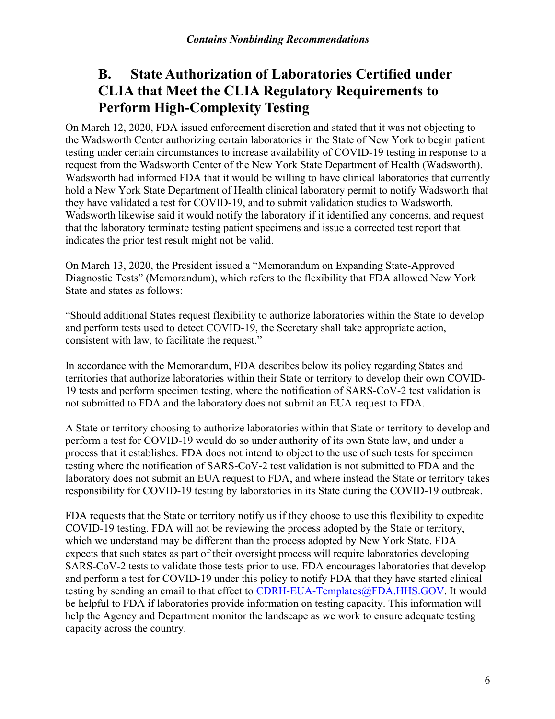### <span id="page-8-0"></span>**B. State Authorization of Laboratories Certified under CLIA that Meet the CLIA Regulatory Requirements to Perform High[Complexity T](mailto:CDRH-EUA-Templates@FDA.HHS.GOV)esting**

On March 12, 2020, FDA issued enforcement discretion and stated that it was not objecting to the Wadsworth Center authorizing certain laboratories in the State of New York to begin patient testing under certain circumstances to increase availability of COVID-19 testing in response to a request from the Wadsworth Center of the New York State Department of Health (Wadsworth). Wadsworth had informed FDA that it would be willing to have clinical laboratories that currently hold a New York State Department of Health clinical laboratory permit to notify Wadsworth that they have validated a test for COVID-19, and to submit validation studies to Wadsworth. Wadsworth likewise said it would notify the laboratory if it identified any concerns, and request that the laboratory terminate testing patient specimens and issue a corrected test report that indicates the prior test result might not be valid.

On March 13, 2020, the President issued a "Memorandum on Expanding State-Approved Diagnostic Tests" (Memorandum), which refers to the flexibility that FDA allowed New York State and states as follows:

"Should additional States request flexibility to authorize laboratories within the State to develop and perform tests used to detect COVID-19, the Secretary shall take appropriate action, consistent with law, to facilitate the request."

In accordance with the Memorandum, FDA describes below its policy regarding States and territories that authorize laboratories within their State or territory to develop their own COVID-19 tests and perform specimen testing, where the notification of SARS-CoV-2 test validation is not submitted to FDA and the laboratory does not submit an EUA request to FDA.

A State or territory choosing to authorize laboratories within that State or territory to develop and perform a test for COVID-19 would do so under authority of its own State law, and under a process that it establishes. FDA does not intend to object to the use of such tests for specimen testing where the notification of SARS-CoV-2 test validation is not submitted to FDA and the laboratory does not submit an EUA request to FDA, and where instead the State or territory takes responsibility for COVID-19 testing by laboratories in its State during the COVID-19 outbreak.

FDA requests that the State or territory notify us if they choose to use this flexibility to expedite COVID-19 testing. FDA will not be reviewing the process adopted by the State or territory, which we understand may be different than the process adopted by New York State. FDA expects that such states as part of their oversight process will require laboratories developing SARS-CoV-2 tests to validate those tests prior to use. FDA encourages laboratories that develop and perform a test for COVID-19 under this policy to notify FDA that they have started clinical testing by sending an email to that effect to CDRH-EUA-Templates@FDA.HHS.GOV. It would be helpful to FDA if laboratories provide information on testing capacity. This information will help the Agency and Department monitor the landscape as we work to ensure adequate testing capacity across the country.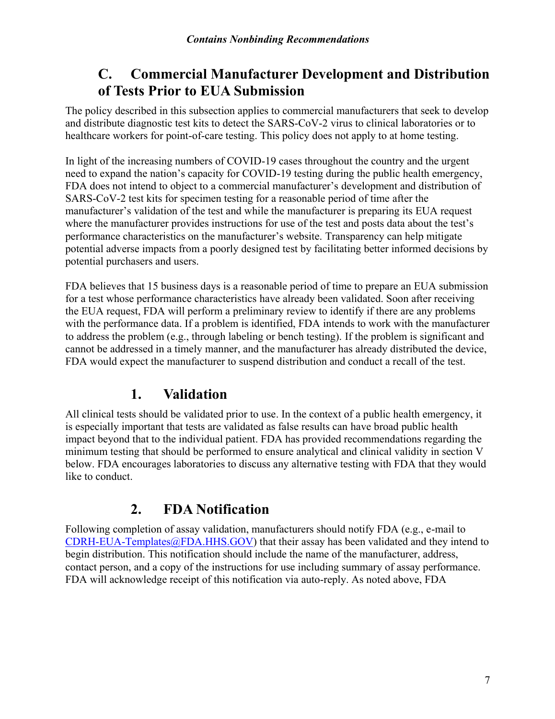#### <span id="page-9-0"></span>**C. Commercial Manufacturer Development and Distribution of Tests Prior to EUA Submission**

The policy described in this subsection applies to commercial manufacturers that seek to develop and distribute diagnostic test kits to detect the SARS-CoV-2 virus to clinical laboratories or to healthcare workers for point-of-care testing. This policy does not apply to at home testing.

In light of the increasing numbers of COVID-19 cases throughout the country and the urgent need to expand the nation's capacity for COVID-19 testing during the public health emergency, FDA does not intend to object to a commercial manufacturer's development and distribution of SARS-CoV-2 test kits for specimen testing for a reasonable period of time after the manufacturer's validation of the test and while the manufacturer is preparing its EUA request where the manufacturer provides instructions for use of the test and posts data about the test's performance characteristics on the manufacturer's website. Transparency can help mitigate potential adverse impacts from a poorly designed test by facilitating better informed decisions by potential purchasers and users.

FDA believes that 15 business days is a reasonable period of time to prepare an EUA submission for a test whose performance characteristics have already been validated. Soon after receiving the EUA request, FDA will perform a preliminary review to identify if there are any problems with the performance data. If a problem is identified, FDA intends to work with the manufacturer to address the problem (e.g., through labeling or bench testing). If the problem is significant and cannot be addressed in a timely manner, and the manufacturer has already distributed the device, FDA would expect the manufacturer to suspend distribution and conduct a recall of the test.

#### <span id="page-9-1"></span>**1. Validation**

All clinical tests should be validated prior to use. In the context of a public health emergency, it is especially important that tests are validated as false results can have broad public health impact beyond that to the individual patient. FDA has provided recommendations regarding the minimum testing that should be performed to ensure analytical and clinical validity in section V below. FDA encourages laboratories to discuss any alternative testing with FDA that they would like to conduct.

## <span id="page-9-2"></span>**2. FDA Notification**

Following completion of assay validation, manufacturers should notify FDA (e.g., e-mail to  $CDRH-EUA-Templates@FDA.HHS.GOV)$  $CDRH-EUA-Templates@FDA.HHS.GOV)$  that their assay has been validated and they intend to begin distribution. This notification should include the name of the manufacturer, address, contact person, and a copy of the instructions for use including summary of assay performance. FDA will acknowledge receipt of this notification via auto-reply. As noted above, FDA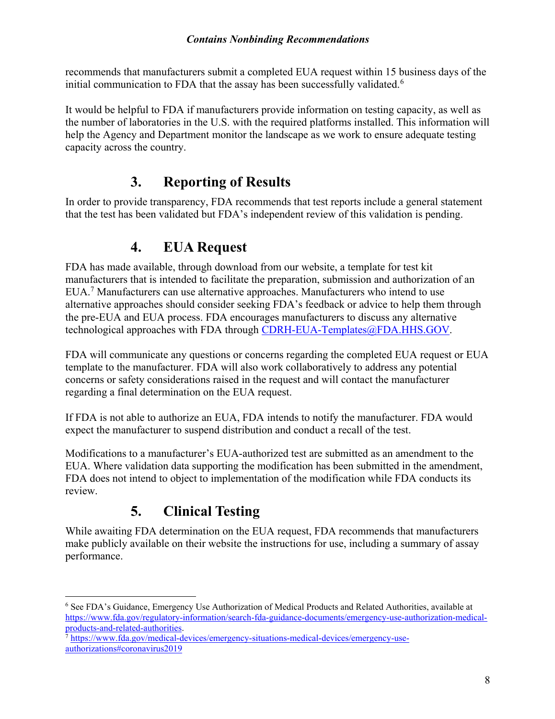#### *Contains Nonbinding Recommendations*

recommends that manufacturers submit a completed EUA request within 15 business days of the initial communication to FDA that the assay has been successfully validated.<sup>[6](#page-10-2)</sup>

It would be helpful to FDA if manufacturers provide information on testing capacity, as well as the number of laboratories in the U.S. with the required platforms installed. This information will help the Agency and Department monitor the landscape as we work to ensure adequate testing capacity across the country.

#### **3. Reporting of Results**

In order to provide transparency, FDA recommends that test reports include a general statement that the test has been validated but FDA's independent review of this validation is pending.

#### <span id="page-10-0"></span>**4. EUA Request**

FDA has made available, through download from our website, a template for test kit manufacturers that is intended to facilitate the preparation, submission and authorization of an EUA.[7](#page-10-3) Manufacturers can use alternative approaches. Manufacturers who intend to use alternative approaches should consider seeking FDA's feedback or advice to help them through the pre-EUA and EUA process. FDA encourages manufacturers to discuss any alternative technological approaches with FDA through [CDRH-EUA-Templates@FDA.HHS.GOV](mailto:CDRH-EUA-Templates@FDA.HHS.GOV).

FDA will communicate any questions or concerns regarding the completed EUA request or EUA template to the manufacturer. FDA will also work collaboratively to address any potential concerns or safety considerations raised in the request and will contact the manufacturer regarding a final determination on the EUA request.

If FDA is not able to authorize an EUA, FDA intends to notify the manufacturer. FDA would expect the manufacturer to suspend distribution and conduct a recall of the test.

Modifications to a manufacturer's EUA-authorized test are submitted as an amendment to the EUA. Where validation data supporting the modification has been submitted in the amendment, FDA does not intend to object to implementation of the modification while FDA conducts its review.

### <span id="page-10-1"></span>**5. Clinical Testing**

While awaiting FDA determination on the EUA request, FDA recommends that manufacturers make publicly available on their website the instructions for use, including a summary of assay performance.

<span id="page-10-2"></span> $\overline{a}$ <sup>6</sup> See FDA's Guidance, Emergency Use Authorization of Medical Products and Related Authorities, available at [https://www.fda.gov/regulatory-information/search-fda-guidance-documents/emergency-use-authorization-medical](https://www.fda.gov/regulatory-information/search-fda-guidance-documents/emergency-use-authorization-medical-products-and-related-authorities)[products-and-related-authorities](https://www.fda.gov/regulatory-information/search-fda-guidance-documents/emergency-use-authorization-medical-products-and-related-authorities).

<span id="page-10-3"></span><sup>7</sup> [https://www.fda.gov/medical-devices/emergency-situations-medical-devices/emergency-use](https://www.fda.gov/medical-devices/emergency-situations-medical-devices/emergency-use-authorizations)[authorizations#coronavirus2019](https://www.fda.gov/medical-devices/emergency-situations-medical-devices/emergency-use-authorizations)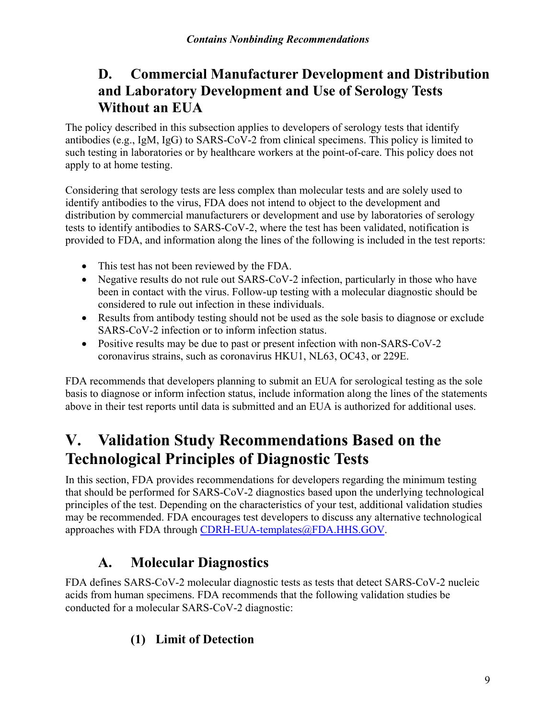### <span id="page-11-0"></span>**D. Commercial Manufacturer Development and Distribution and Laboratory Development and Use of Serology Tests Without an EUA**

The policy described in this subsection applies to developers of serology tests that identify antibodies (e.g., IgM, IgG) to SARS-CoV-2 from clinical specimens. This policy is limited to such testing in laboratories or by healthcare workers at the point-of-care. This policy does not apply to at home testing.

Considering that serology tests are less complex than molecular tests and are solely used to identify antibodies to the virus, FDA does not intend to object to the development and distribution by commercial manufacturers or development and use by laboratories of serology tests to identify antibodies to SARS-CoV-2, where the test has been validated, notification is provided to FDA, and information along the lines of the following is included in the test reports:

- This test has not been reviewed by the FDA.
- Negative results do not rule out SARS-CoV-2 infection, particularly in those who have been in contact with the virus. Follow-up testing with a molecular diagnostic should be considered to rule out infection in these individuals.
- Results from antibody testing should not be used as the sole basis to diagnose or exclude SARS-CoV-2 infection or to inform infection status.
- Positive results may be due to past or present infection with non-SARS-CoV-2 coronavirus strains, such as coronavirus HKU1, NL63, OC43, or 229E.

FDA recommends that developers planning to submit an EUA for serological testing as the sole basis to diagnose or inform infection status, include information along the lines of the statements above in their test reports until data is submitted and an EUA is authorized for additional uses.

## <span id="page-11-1"></span>**V. Validation Study Recommendations Based on the Technological Principles of Diagnostic Tests**

In this section, FDA provides recommendations for developers regarding the minimum testing that should be performed for SARS-CoV-2 diagnostics based upon the underlying technological principles of the test. Depending on the characteristics of your test, additional validation studies may be recommended. FDA encourages test developers to discuss any alternative technological approaches with FDA through [CDRH-EUA-templates@FDA.HHS.GOV.](mailto:CDRH-EUA-templates@FDA.HHS.GOV)

## <span id="page-11-2"></span>**A. Molecular Diagnostics**

FDA defines SARS-CoV-2 molecular diagnostic tests as tests that detect SARS-CoV-2 nucleic acids from human specimens. FDA recommends that the following validation studies be conducted for a molecular SARS-CoV-2 diagnostic:

#### <span id="page-11-3"></span>**(1) Limit of Detection**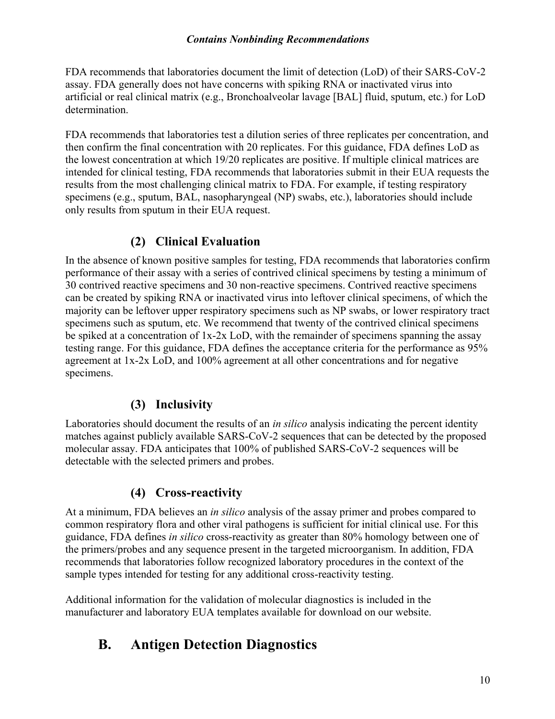#### *Contains Nonbinding Recommendations*

FDA recommends that laboratories document the limit of detection (LoD) of their SARS-CoV-2 assay. FDA generally does not have concerns with spiking RNA or inactivated virus into artificial or real clinical matrix (e.g., Bronchoalveolar lavage [BAL] fluid, sputum, etc.) for LoD determination.

FDA recommends that laboratories test a dilution series of three replicates per concentration, and then confirm the final concentration with 20 replicates. For this guidance, FDA defines LoD as the lowest concentration at which 19/20 replicates are positive. If multiple clinical matrices are intended for clinical testing, FDA recommends that laboratories submit in their EUA requests the results from the most challenging clinical matrix to FDA. For example, if testing respiratory specimens (e.g., sputum, BAL, nasopharyngeal (NP) swabs, etc.), laboratories should include only results from sputum in their EUA request.

#### **(2) Clinical Evaluation**

<span id="page-12-0"></span>In the absence of known positive samples for testing, FDA recommends that laboratories confirm performance of their assay with a series of contrived clinical specimens by testing a minimum of 30 contrived reactive specimens and 30 non-reactive specimens. Contrived reactive specimens can be created by spiking RNA or inactivated virus into leftover clinical specimens, of which the majority can be leftover upper respiratory specimens such as NP swabs, or lower respiratory tract specimens such as sputum, etc. We recommend that twenty of the contrived clinical specimens be spiked at a concentration of 1x-2x LoD, with the remainder of specimens spanning the assay testing range. For this guidance, FDA defines the acceptance criteria for the performance as 95% agreement at 1x-2x LoD, and 100% agreement at all other concentrations and for negative specimens.

#### **(3) Inclusivity**

<span id="page-12-1"></span>Laboratories should document the results of an *in silico* analysis indicating the percent identity matches against publicly available SARS-CoV-2 sequences that can be detected by the proposed molecular assay. FDA anticipates that 100% of published SARS-CoV-2 sequences will be detectable with the selected primers and probes.

#### **(4) Cross-reactivity**

<span id="page-12-2"></span>At a minimum, FDA believes an *in silico* analysis of the assay primer and probes compared to common respiratory flora and other viral pathogens is sufficient for initial clinical use. For this guidance, FDA defines *in silico* cross-reactivity as greater than 80% homology between one of the primers/probes and any sequence present in the targeted microorganism. In addition, FDA recommends that laboratories follow recognized laboratory procedures in the context of the sample types intended for testing for any additional cross-reactivity testing.

Additional information for the validation of molecular diagnostics is included in the manufacturer and laboratory EUA templates available for download on our website.

### <span id="page-12-3"></span>**B. Antigen Detection Diagnostics**